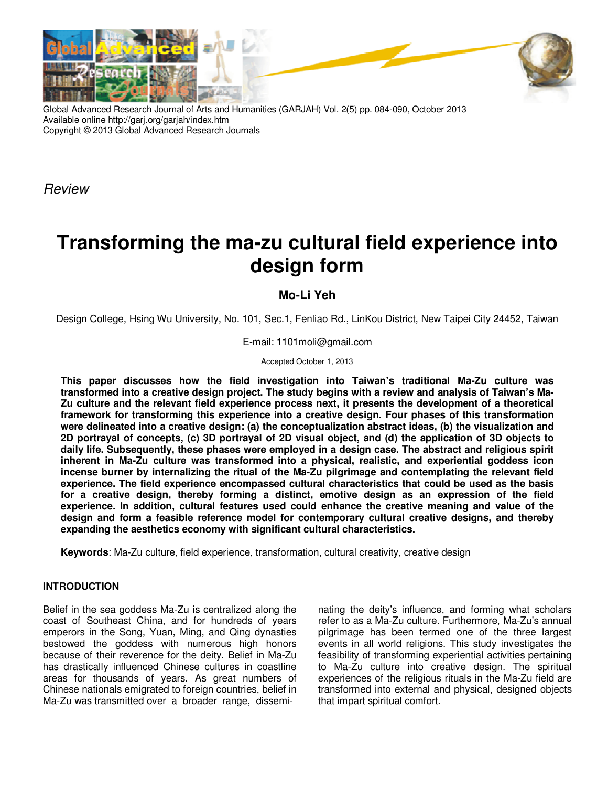

Global Advanced Research Journal of Arts and Humanities (GARJAH) Vol. 2(5) pp. 084-090, October 2013 Available online http://garj.org/garjah/index.htm Copyright © 2013 Global Advanced Research Journals

Review

# **Transforming the ma-zu cultural field experience into design form**

## **Mo-Li Yeh**

Design College, Hsing Wu University, No. 101, Sec.1, Fenliao Rd., LinKou District, New Taipei City 24452, Taiwan

E-mail: 1101moli@gmail.com

Accepted October 1, 2013

**This paper discusses how the field investigation into Taiwan's traditional Ma-Zu culture was transformed into a creative design project. The study begins with a review and analysis of Taiwan's Ma-Zu culture and the relevant field experience process next, it presents the development of a theoretical framework for transforming this experience into a creative design. Four phases of this transformation were delineated into a creative design: (a) the conceptualization abstract ideas, (b) the visualization and 2D portrayal of concepts, (c) 3D portrayal of 2D visual object, and (d) the application of 3D objects to daily life. Subsequently, these phases were employed in a design case. The abstract and religious spirit inherent in Ma-Zu culture was transformed into a physical, realistic, and experiential goddess icon incense burner by internalizing the ritual of the Ma-Zu pilgrimage and contemplating the relevant field experience. The field experience encompassed cultural characteristics that could be used as the basis for a creative design, thereby forming a distinct, emotive design as an expression of the field experience. In addition, cultural features used could enhance the creative meaning and value of the design and form a feasible reference model for contemporary cultural creative designs, and thereby expanding the aesthetics economy with significant cultural characteristics.** 

**Keywords**: Ma-Zu culture, field experience, transformation, cultural creativity, creative design

## **INTRODUCTION**

Belief in the sea goddess Ma-Zu is centralized along the coast of Southeast China, and for hundreds of years emperors in the Song, Yuan, Ming, and Qing dynasties bestowed the goddess with numerous high honors because of their reverence for the deity. Belief in Ma-Zu has drastically influenced Chinese cultures in coastline areas for thousands of years. As great numbers of Chinese nationals emigrated to foreign countries, belief in Ma-Zu was transmitted over a broader range, dissemi-

nating the deity's influence, and forming what scholars refer to as a Ma-Zu culture. Furthermore, Ma-Zu's annual pilgrimage has been termed one of the three largest events in all world religions. This study investigates the feasibility of transforming experiential activities pertaining to Ma-Zu culture into creative design. The spiritual experiences of the religious rituals in the Ma-Zu field are transformed into external and physical, designed objects that impart spiritual comfort.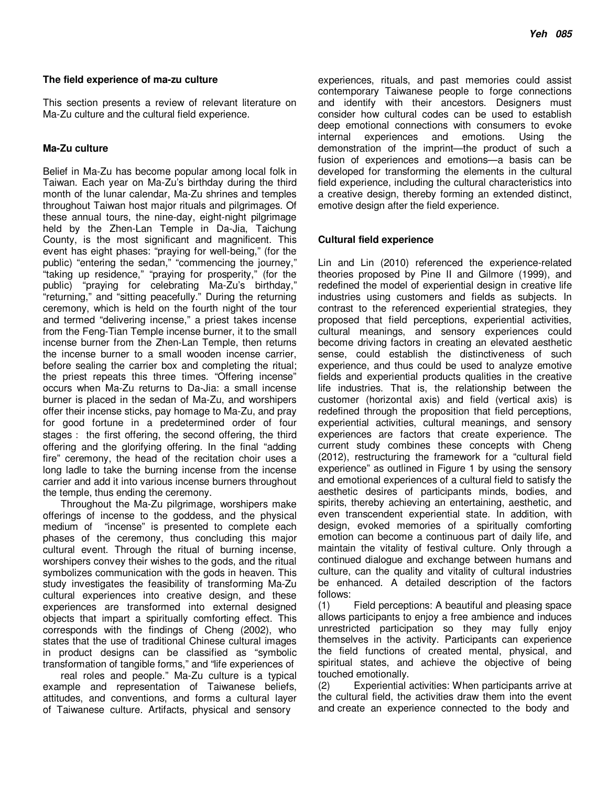#### **The field experience of ma-zu culture**

This section presents a review of relevant literature on Ma-Zu culture and the cultural field experience.

## **Ma-Zu culture**

Belief in Ma-Zu has become popular among local folk in Taiwan. Each year on Ma-Zu's birthday during the third month of the lunar calendar, Ma-Zu shrines and temples throughout Taiwan host major rituals and pilgrimages. Of these annual tours, the nine-day, eight-night pilgrimage held by the Zhen-Lan Temple in Da-Jia, Taichung County, is the most significant and magnificent. This event has eight phases: "praying for well-being," (for the public) "entering the sedan," "commencing the journey," "taking up residence," "praying for prosperity," (for the public) "praying for celebrating Ma-Zu's birthday," "returning," and "sitting peacefully." During the returning ceremony, which is held on the fourth night of the tour and termed "delivering incense," a priest takes incense from the Feng-Tian Temple incense burner, it to the small incense burner from the Zhen-Lan Temple, then returns the incense burner to a small wooden incense carrier, before sealing the carrier box and completing the ritual; the priest repeats this three times. "Offering incense" occurs when Ma-Zu returns to Da-Jia: a small incense burner is placed in the sedan of Ma-Zu, and worshipers offer their incense sticks, pay homage to Ma-Zu, and pray for good fortune in a predetermined order of four stages: the first offering, the second offering, the third offering and the glorifying offering. In the final "adding fire" ceremony, the head of the recitation choir uses a long ladle to take the burning incense from the incense carrier and add it into various incense burners throughout the temple, thus ending the ceremony.

Throughout the Ma-Zu pilgrimage, worshipers make offerings of incense to the goddess, and the physical medium of "incense" is presented to complete each phases of the ceremony, thus concluding this major cultural event. Through the ritual of burning incense, worshipers convey their wishes to the gods, and the ritual symbolizes communication with the gods in heaven. This study investigates the feasibility of transforming Ma-Zu cultural experiences into creative design, and these experiences are transformed into external designed objects that impart a spiritually comforting effect. This corresponds with the findings of Cheng (2002), who states that the use of traditional Chinese cultural images in product designs can be classified as "symbolic transformation of tangible forms," and "life experiences of

real roles and people." Ma-Zu culture is a typical example and representation of Taiwanese beliefs, attitudes, and conventions, and forms a cultural layer of Taiwanese culture. Artifacts, physical and sensory

experiences, rituals, and past memories could assist contemporary Taiwanese people to forge connections and identify with their ancestors. Designers must consider how cultural codes can be used to establish deep emotional connections with consumers to evoke internal experiences and emotions. Using the demonstration of the imprint—the product of such a fusion of experiences and emotions—a basis can be developed for transforming the elements in the cultural field experience, including the cultural characteristics into a creative design, thereby forming an extended distinct, emotive design after the field experience.

## **Cultural field experience**

Lin and Lin (2010) referenced the experience-related theories proposed by Pine II and Gilmore (1999), and redefined the model of experiential design in creative life industries using customers and fields as subjects. In contrast to the referenced experiential strategies, they proposed that field perceptions, experiential activities, cultural meanings, and sensory experiences could become driving factors in creating an elevated aesthetic sense, could establish the distinctiveness of such experience, and thus could be used to analyze emotive fields and experiential products qualities in the creative life industries. That is, the relationship between the customer (horizontal axis) and field (vertical axis) is redefined through the proposition that field perceptions, experiential activities, cultural meanings, and sensory experiences are factors that create experience. The current study combines these concepts with Cheng (2012), restructuring the framework for a "cultural field experience" as outlined in Figure 1 by using the sensory and emotional experiences of a cultural field to satisfy the aesthetic desires of participants minds, bodies, and spirits, thereby achieving an entertaining, aesthetic, and even transcendent experiential state. In addition, with design, evoked memories of a spiritually comforting emotion can become a continuous part of daily life, and maintain the vitality of festival culture. Only through a continued dialogue and exchange between humans and culture, can the quality and vitality of cultural industries be enhanced. A detailed description of the factors follows:

(1) Field perceptions: A beautiful and pleasing space allows participants to enjoy a free ambience and induces unrestricted participation so they may fully enjoy themselves in the activity. Participants can experience the field functions of created mental, physical, and spiritual states, and achieve the objective of being touched emotionally.

(2) Experiential activities: When participants arrive at the cultural field, the activities draw them into the event and create an experience connected to the body and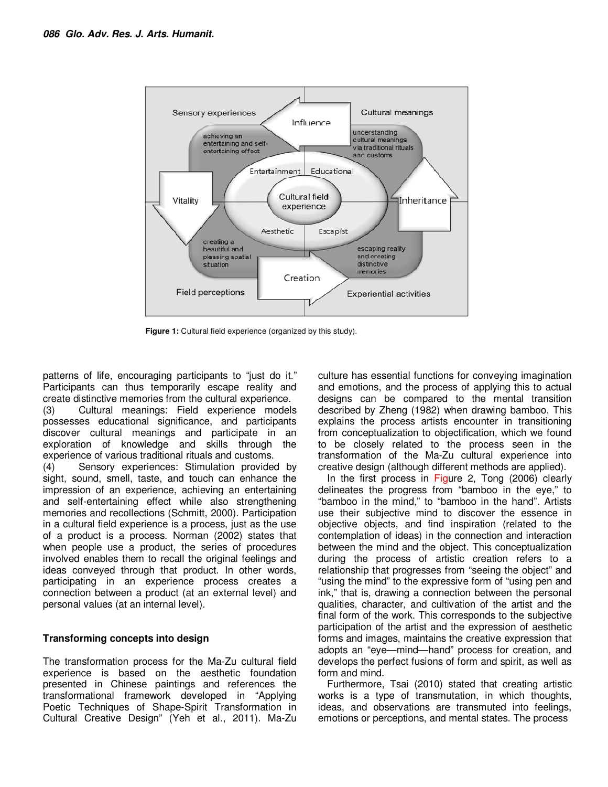

**Figure 1:** Cultural field experience (organized by this study).

patterns of life, encouraging participants to "just do it." Participants can thus temporarily escape reality and create distinctive memories from the cultural experience.

(3) Cultural meanings: Field experience models possesses educational significance, and participants discover cultural meanings and participate in an exploration of knowledge and skills through the experience of various traditional rituals and customs.

(4) Sensory experiences: Stimulation provided by sight, sound, smell, taste, and touch can enhance the impression of an experience, achieving an entertaining and self-entertaining effect while also strengthening memories and recollections (Schmitt, 2000). Participation in a cultural field experience is a process, just as the use of a product is a process. Norman (2002) states that when people use a product, the series of procedures involved enables them to recall the original feelings and ideas conveyed through that product. In other words, participating in an experience process creates a connection between a product (at an external level) and personal values (at an internal level).

## **Transforming concepts into design**

The transformation process for the Ma-Zu cultural field experience is based on the aesthetic foundation presented in Chinese paintings and references the transformational framework developed in "Applying Poetic Techniques of Shape-Spirit Transformation in Cultural Creative Design" (Yeh et al., 2011). Ma-Zu

culture has essential functions for conveying imagination and emotions, and the process of applying this to actual designs can be compared to the mental transition described by Zheng (1982) when drawing bamboo. This explains the process artists encounter in transitioning from conceptualization to objectification, which we found to be closely related to the process seen in the transformation of the Ma-Zu cultural experience into creative design (although different methods are applied).

In the first process in Figure 2, Tong (2006) clearly delineates the progress from "bamboo in the eye," to "bamboo in the mind," to "bamboo in the hand". Artists use their subjective mind to discover the essence in objective objects, and find inspiration (related to the contemplation of ideas) in the connection and interaction between the mind and the object. This conceptualization during the process of artistic creation refers to a relationship that progresses from "seeing the object" and "using the mind" to the expressive form of "using pen and ink," that is, drawing a connection between the personal qualities, character, and cultivation of the artist and the final form of the work. This corresponds to the subjective participation of the artist and the expression of aesthetic forms and images, maintains the creative expression that adopts an "eye—mind—hand" process for creation, and develops the perfect fusions of form and spirit, as well as form and mind.

Furthermore, Tsai (2010) stated that creating artistic works is a type of transmutation, in which thoughts, ideas, and observations are transmuted into feelings, emotions or perceptions, and mental states. The process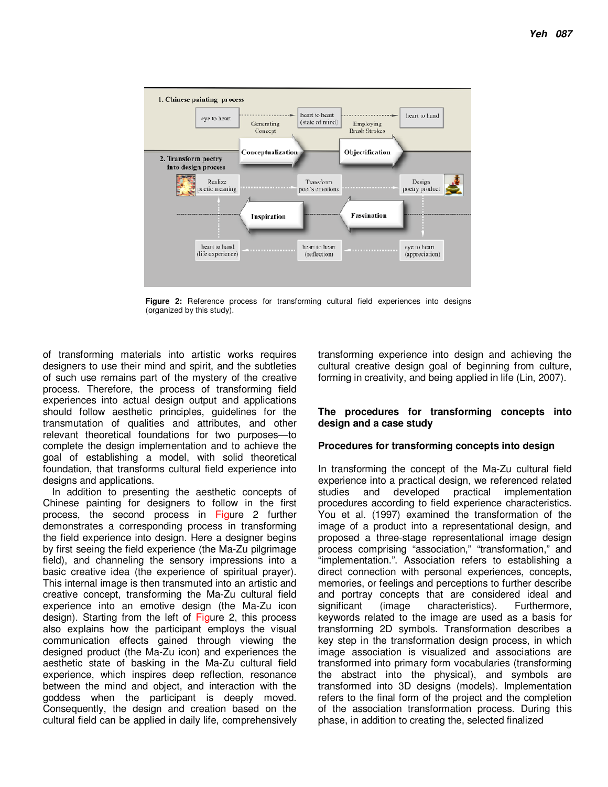

**Figure 2:** Reference process for transforming cultural field experiences into designs (organized by this study).

of transforming materials into artistic works requires designers to use their mind and spirit, and the subtleties of such use remains part of the mystery of the creative process. Therefore, the process of transforming field experiences into actual design output and applications should follow aesthetic principles, guidelines for the transmutation of qualities and attributes, and other relevant theoretical foundations for two purposes—to complete the design implementation and to achieve the goal of establishing a model, with solid theoretical foundation, that transforms cultural field experience into designs and applications.

In addition to presenting the aesthetic concepts of Chinese painting for designers to follow in the first process, the second process in Figure 2 further demonstrates a corresponding process in transforming the field experience into design. Here a designer begins by first seeing the field experience (the Ma-Zu pilgrimage field), and channeling the sensory impressions into a basic creative idea (the experience of spiritual prayer). This internal image is then transmuted into an artistic and creative concept, transforming the Ma-Zu cultural field experience into an emotive design (the Ma-Zu icon design). Starting from the left of Figure 2, this process also explains how the participant employs the visual communication effects gained through viewing the designed product (the Ma-Zu icon) and experiences the aesthetic state of basking in the Ma-Zu cultural field experience, which inspires deep reflection, resonance between the mind and object, and interaction with the goddess when the participant is deeply moved. Consequently, the design and creation based on the cultural field can be applied in daily life, comprehensively

transforming experience into design and achieving the cultural creative design goal of beginning from culture, forming in creativity, and being applied in life (Lin, 2007).

## **The procedures for transforming concepts into design and a case study**

## **Procedures for transforming concepts into design**

In transforming the concept of the Ma-Zu cultural field experience into a practical design, we referenced related studies and developed practical implementation procedures according to field experience characteristics. You et al. (1997) examined the transformation of the image of a product into a representational design, and proposed a three-stage representational image design process comprising "association," "transformation," and "implementation.". Association refers to establishing a direct connection with personal experiences, concepts, memories, or feelings and perceptions to further describe and portray concepts that are considered ideal and significant (image characteristics). Furthermore, keywords related to the image are used as a basis for transforming 2D symbols. Transformation describes a key step in the transformation design process, in which image association is visualized and associations are transformed into primary form vocabularies (transforming the abstract into the physical), and symbols are transformed into 3D designs (models). Implementation refers to the final form of the project and the completion of the association transformation process. During this phase, in addition to creating the, selected finalized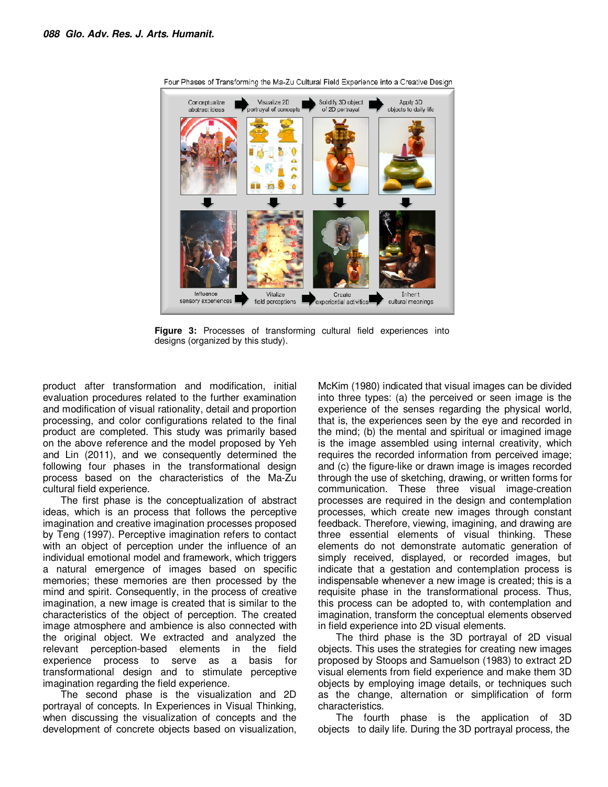

Four Phases of Transforming the Ma-Zu Cultural Field Experience into a Creative Design

**Figure 3:** Processes of transforming cultural field experiences into designs (organized by this study).

product after transformation and modification, initial evaluation procedures related to the further examination and modification of visual rationality, detail and proportion processing, and color configurations related to the final product are completed. This study was primarily based on the above reference and the model proposed by Yeh and Lin (2011), and we consequently determined the following four phases in the transformational design process based on the characteristics of the Ma-Zu cultural field experience.

The first phase is the conceptualization of abstract ideas, which is an process that follows the perceptive imagination and creative imagination processes proposed by Teng (1997). Perceptive imagination refers to contact with an object of perception under the influence of an individual emotional model and framework, which triggers a natural emergence of images based on specific memories; these memories are then processed by the mind and spirit. Consequently, in the process of creative imagination, a new image is created that is similar to the characteristics of the object of perception. The created image atmosphere and ambience is also connected with the original object. We extracted and analyzed the relevant perception-based elements in the field experience process to serve as a basis for transformational design and to stimulate perceptive imagination regarding the field experience.

The second phase is the visualization and 2D portrayal of concepts. In Experiences in Visual Thinking, when discussing the visualization of concepts and the development of concrete objects based on visualization,

McKim (1980) indicated that visual images can be divided into three types: (a) the perceived or seen image is the experience of the senses regarding the physical world, that is, the experiences seen by the eye and recorded in the mind; (b) the mental and spiritual or imagined image is the image assembled using internal creativity, which requires the recorded information from perceived image; and (c) the figure-like or drawn image is images recorded through the use of sketching, drawing, or written forms for communication. These three visual image-creation processes are required in the design and contemplation processes, which create new images through constant feedback. Therefore, viewing, imagining, and drawing are three essential elements of visual thinking. These elements do not demonstrate automatic generation of simply received, displayed, or recorded images, but indicate that a gestation and contemplation process is indispensable whenever a new image is created; this is a requisite phase in the transformational process. Thus, this process can be adopted to, with contemplation and imagination, transform the conceptual elements observed in field experience into 2D visual elements.

The third phase is the 3D portrayal of 2D visual objects. This uses the strategies for creating new images proposed by Stoops and Samuelson (1983) to extract 2D visual elements from field experience and make them 3D objects by employing image details, or techniques such as the change, alternation or simplification of form characteristics.

The fourth phase is the application of 3D objects to daily life. During the 3D portrayal process, the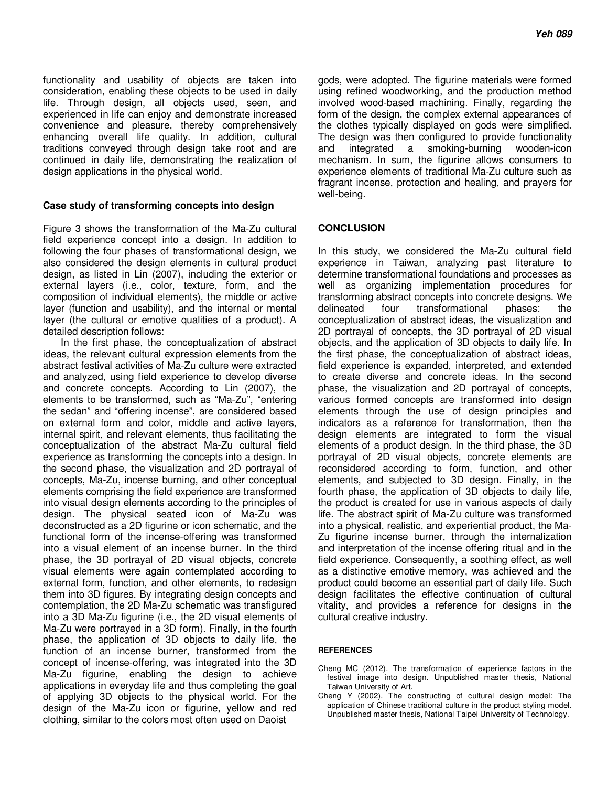functionality and usability of objects are taken into consideration, enabling these objects to be used in daily life. Through design, all objects used, seen, and experienced in life can enjoy and demonstrate increased convenience and pleasure, thereby comprehensively enhancing overall life quality. In addition, cultural traditions conveyed through design take root and are continued in daily life, demonstrating the realization of design applications in the physical world.

#### **Case study of transforming concepts into design**

Figure 3 shows the transformation of the Ma-Zu cultural field experience concept into a design. In addition to following the four phases of transformational design, we also considered the design elements in cultural product design, as listed in Lin (2007), including the exterior or external layers (i.e., color, texture, form, and the composition of individual elements), the middle or active layer (function and usability), and the internal or mental layer (the cultural or emotive qualities of a product). A detailed description follows:

In the first phase, the conceptualization of abstract ideas, the relevant cultural expression elements from the abstract festival activities of Ma-Zu culture were extracted and analyzed, using field experience to develop diverse and concrete concepts. According to Lin (2007), the elements to be transformed, such as "Ma-Zu", "entering the sedan" and "offering incense", are considered based on external form and color, middle and active layers, internal spirit, and relevant elements, thus facilitating the conceptualization of the abstract Ma-Zu cultural field experience as transforming the concepts into a design. In the second phase, the visualization and 2D portrayal of concepts, Ma-Zu, incense burning, and other conceptual elements comprising the field experience are transformed into visual design elements according to the principles of design. The physical seated icon of Ma-Zu was deconstructed as a 2D figurine or icon schematic, and the functional form of the incense-offering was transformed into a visual element of an incense burner. In the third phase, the 3D portrayal of 2D visual objects, concrete visual elements were again contemplated according to external form, function, and other elements, to redesign them into 3D figures. By integrating design concepts and contemplation, the 2D Ma-Zu schematic was transfigured into a 3D Ma-Zu figurine (i.e., the 2D visual elements of Ma-Zu were portrayed in a 3D form). Finally, in the fourth phase, the application of 3D objects to daily life, the function of an incense burner, transformed from the concept of incense-offering, was integrated into the 3D Ma-Zu figurine, enabling the design to achieve applications in everyday life and thus completing the goal of applying 3D objects to the physical world. For the design of the Ma-Zu icon or figurine, yellow and red clothing, similar to the colors most often used on Daoist

gods, were adopted. The figurine materials were formed using refined woodworking, and the production method involved wood-based machining. Finally, regarding the form of the design, the complex external appearances of the clothes typically displayed on gods were simplified. The design was then configured to provide functionality and integrated a smoking-burning wooden-icon mechanism. In sum, the figurine allows consumers to experience elements of traditional Ma-Zu culture such as fragrant incense, protection and healing, and prayers for well-being.

#### **CONCLUSION**

In this study, we considered the Ma-Zu cultural field experience in Taiwan, analyzing past literature to determine transformational foundations and processes as well as organizing implementation procedures for transforming abstract concepts into concrete designs. We delineated four transformational phases: the conceptualization of abstract ideas, the visualization and 2D portrayal of concepts, the 3D portrayal of 2D visual objects, and the application of 3D objects to daily life. In the first phase, the conceptualization of abstract ideas, field experience is expanded, interpreted, and extended to create diverse and concrete ideas. In the second phase, the visualization and 2D portrayal of concepts, various formed concepts are transformed into design elements through the use of design principles and indicators as a reference for transformation, then the design elements are integrated to form the visual elements of a product design. In the third phase, the 3D portrayal of 2D visual objects, concrete elements are reconsidered according to form, function, and other elements, and subjected to 3D design. Finally, in the fourth phase, the application of 3D objects to daily life, the product is created for use in various aspects of daily life. The abstract spirit of Ma-Zu culture was transformed into a physical, realistic, and experiential product, the Ma-Zu figurine incense burner, through the internalization and interpretation of the incense offering ritual and in the field experience. Consequently, a soothing effect, as well as a distinctive emotive memory, was achieved and the product could become an essential part of daily life. Such design facilitates the effective continuation of cultural vitality, and provides a reference for designs in the cultural creative industry.

#### **REFERENCES**

- Cheng MC (2012). The transformation of experience factors in the festival image into design. Unpublished master thesis, National Taiwan University of Art.
- Cheng Y (2002). The constructing of cultural design model: The application of Chinese traditional culture in the product styling model. Unpublished master thesis, National Taipei University of Technology.